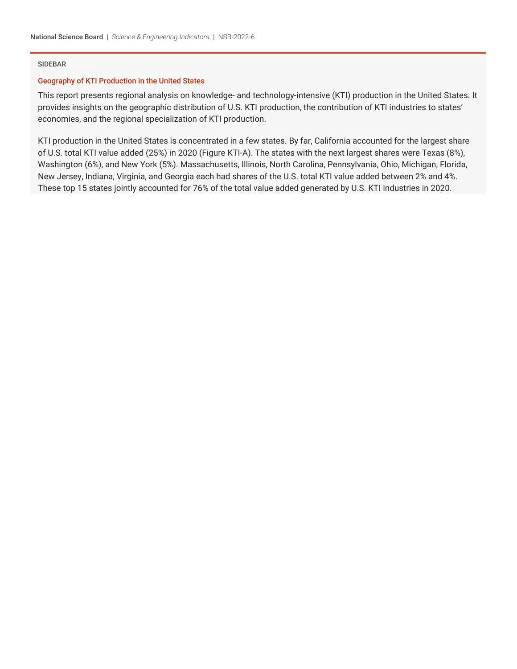# SIDEBAR

# Geography of KTI Production in the United States

This report presents regional analysis on knowledge- and technology-intensive (KTI) production in the United States. It provides insights on the geographic distribution of U.S. KTI production, the contribution of KTI industries to states' economies, and the regional specialization of KTI production.

KTI production in the United States is concentrated in a few states. By far, California accounted for the largest share of U.S. total KTI value added (25%) in 2020 (Figure KTI-A). The states with the next largest shares were Texas (8%), Washington (6%), and New York (5%). Massachusetts, Illinois, North Carolina, Pennsylvania, Ohio, Michigan, Florida, New Jersey, Indiana, Virginia, and Georgia each had shares of the U.S. total KTI value added between 2% and 4%. These top 15 states jointly accounted for 76% of the total value added generated by U.S. KTI industries in 2020.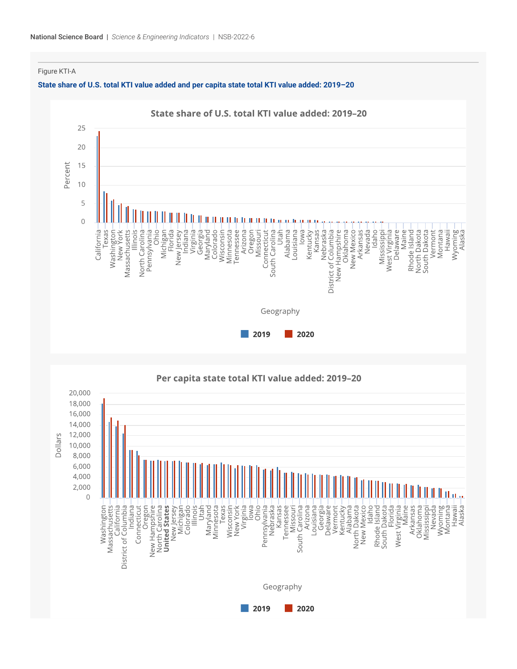Figure KTI-A

### **State share of U.S. total KTI value added and per capita state total KTI value added: 2019–20**

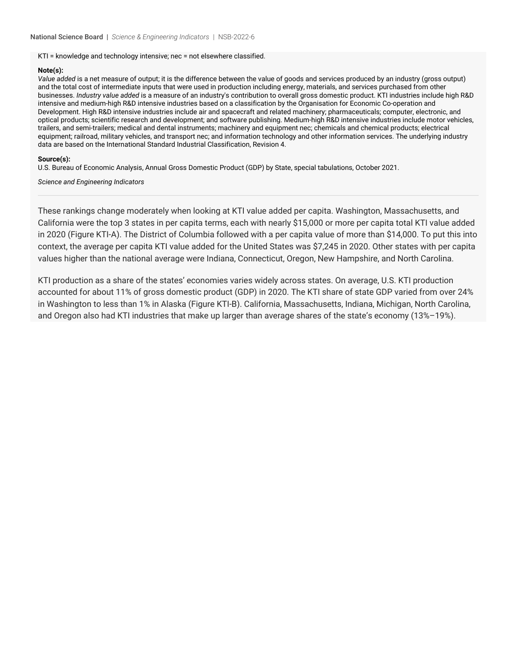KTI = knowledge and technology intensive; nec = not elsewhere classified.

## **Note(s):**

*Value added* is a net measure of output; it is the difference between the value of goods and services produced by an industry (gross output) and the total cost of intermediate inputs that were used in production including energy, materials, and services purchased from other businesses. *Industry value added* is a measure of an industry's contribution to overall gross domestic product. KTI industries include high R&D intensive and medium-high R&D intensive industries based on a classification by the Organisation for Economic Co-operation and Development. High R&D intensive industries include air and spacecraft and related machinery; pharmaceuticals; computer, electronic, and optical products; scientific research and development; and software publishing. Medium-high R&D intensive industries include motor vehicles, trailers, and semi-trailers; medical and dental instruments; machinery and equipment nec; chemicals and chemical products; electrical equipment: railroad, military vehicles, and transport nec; and information technology and other information services. The underlying industry data are based on the International Standard Industrial Classification, Revision 4.

## **Source(s):**

U.S. Bureau of Economic Analysis, Annual Gross Domestic Product (GDP) by State, special tabulations, October 2021.

*Science and Engineering Indicators*

These rankings change moderately when looking at KTI value added per capita. Washington, Massachusetts, and California were the top 3 states in per capita terms, each with nearly \$15,000 or more per capita total KTI value added in 2020 (Figure KTI-A). The District of Columbia followed with a per capita value of more than \$14,000. To put this into context, the average per capita KTI value added for the United States was \$7,245 in 2020. Other states with per capita values higher than the national average were Indiana, Connecticut, Oregon, New Hampshire, and North Carolina.

KTI production as a share of the states' economies varies widely across states. On average, U.S. KTI production accounted for about 11% of gross domestic product (GDP) in 2020. The KTI share of state GDP varied from over 24% in Washington to less than 1% in Alaska (Figure KTI-B). California, Massachusetts, Indiana, Michigan, North Carolina, and Oregon also had KTI industries that make up larger than average shares of the state's economy (13%–19%).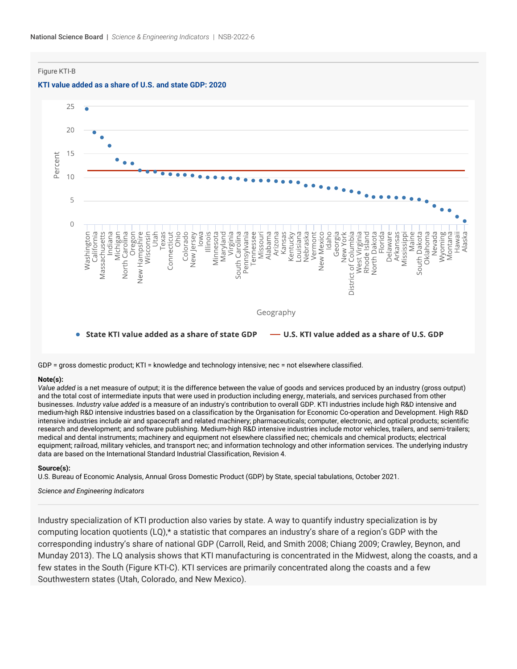Figure KTI-B





GDP = gross domestic product; KTI = knowledge and technology intensive; nec = not elsewhere classified.

# **Note(s):**

*Value added* is a net measure of output; it is the difference between the value of goods and services produced by an industry (gross output) and the total cost of intermediate inputs that were used in production including energy, materials, and services purchased from other businesses. *Industry value added* is a measure of an industry's contribution to overall GDP. KTI industries include high R&D intensive and medium-high R&D intensive industries based on a classification by the Organisation for Economic Co-operation and Development. High R&D intensive industries include air and spacecraft and related machinery; pharmaceuticals; computer, electronic, and optical products; scientific research and development; and software publishing. Medium-high R&D intensive industries include motor vehicles, trailers, and semi-trailers; medical and dental instruments; machinery and equipment not elsewhere classified nec; chemicals and chemical products; electrical equipment; railroad, military vehicles, and transport nec; and information technology and other information services. The underlying industry data are based on the International Standard Industrial Classification, Revision 4.

#### **Source(s):**

U.S. Bureau of Economic Analysis, Annual Gross Domestic Product (GDP) by State, special tabulations, October 2021.

*Science and Engineering Indicators*

Industry specialization of KTI production also varies by state. A way to quantify industry specialization is by computing location quotients (LQ),\* a statistic that compares an industry's share of a region's GDP with the corresponding industry's share of national GDP (Carroll, Reid, and Smith 2008; Chiang 2009; Crawley, Beynon, and Munday 2013). The LQ analysis shows that KTI manufacturing is concentrated in the Midwest, along the coasts, and a few states in the South (Figure KTI-C). KTI services are primarily concentrated along the coasts and a few Southwestern states (Utah, Colorado, and New Mexico).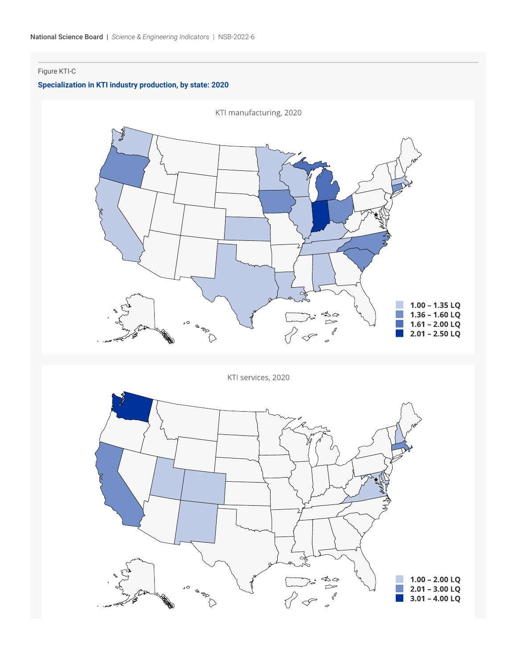# Figure KTI-C

# **Specialization in KTI industry production, by state: 2020**



KTI services, 2020  $1.00 - 2.00$  LQ<br>2.01 - 3.00 LQ , a  $3.01 - 4.00$  LQ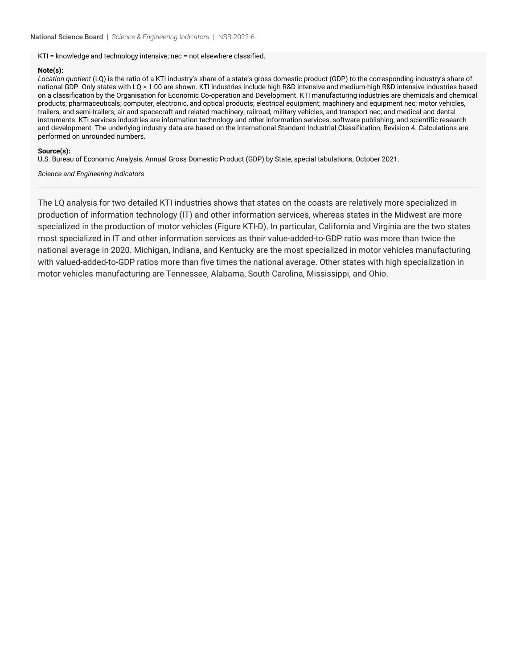KTI = knowledge and technology intensive; nec = not elsewhere classified.

## **Note(s):**

*Location quotient* (LQ) is the ratio of a KTI industry's share of a state's gross domestic product (GDP) to the corresponding industry's share of national GDP. Only states with LQ > 1.00 are shown. KTI industries include high R&D intensive and medium-high R&D intensive industries based on a classification by the Organisation for Economic Co-operation and Development. KTI manufacturing industries are chemicals and chemical products; pharmaceuticals; computer, electronic, and optical products; electrical equipment; machinery and equipment nec; motor vehicles, trailers, and semi-trailers; air and spacecraft and related machinery; railroad, military vehicles, and transport nec; and medical and dental instruments. KTI services industries are information technology and other information services; software publishing, and scientific research and development. The underlying industry data are based on the International Standard Industrial Classification, Revision 4. Calculations are performed on unrounded numbers.

# **Source(s):**

U.S. Bureau of Economic Analysis, Annual Gross Domestic Product (GDP) by State, special tabulations, October 2021.

*Science and Engineering Indicators*

The LQ analysis for two detailed KTI industries shows that states on the coasts are relatively more specialized in production of information technology (IT) and other information services, whereas states in the Midwest are more specialized in the production of motor vehicles (Figure KTI-D). In particular, California and Virginia are the two states most specialized in IT and other information services as their value-added-to-GDP ratio was more than twice the national average in 2020. Michigan, Indiana, and Kentucky are the most specialized in motor vehicles manufacturing with valued-added-to-GDP ratios more than five times the national average. Other states with high specialization in motor vehicles manufacturing are Tennessee, Alabama, South Carolina, Mississippi, and Ohio.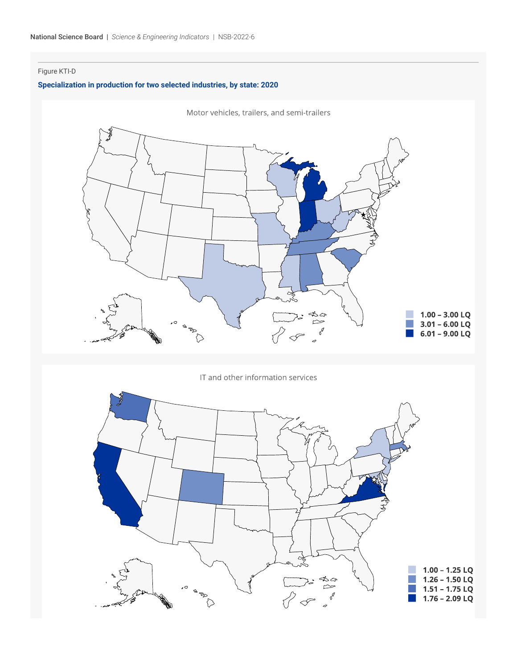# Figure KTI-D

# **Specialization in production for two selected industries, by state: 2020**



IT and other information services